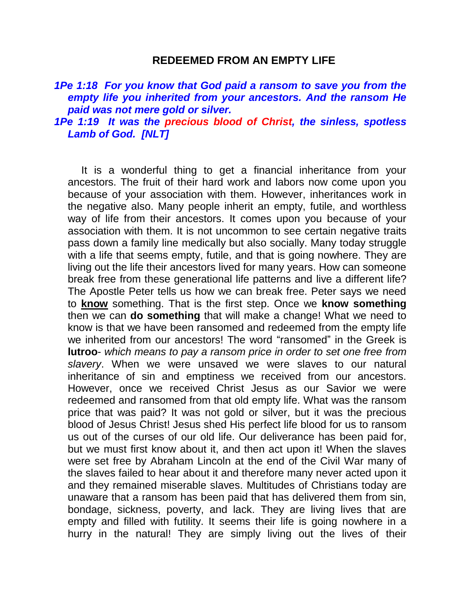#### **REDEEMED FROM AN EMPTY LIFE**

*1Pe 1:18 For you know that God paid a ransom to save you from the empty life you inherited from your ancestors. And the ransom He paid was not mere gold or silver.* 

## *1Pe 1:19 It was the precious blood of Christ, the sinless, spotless Lamb of God. [NLT]*

It is a wonderful thing to get a financial inheritance from your ancestors. The fruit of their hard work and labors now come upon you because of your association with them. However, inheritances work in the negative also. Many people inherit an empty, futile, and worthless way of life from their ancestors. It comes upon you because of your association with them. It is not uncommon to see certain negative traits pass down a family line medically but also socially. Many today struggle with a life that seems empty, futile, and that is going nowhere. They are living out the life their ancestors lived for many years. How can someone break free from these generational life patterns and live a different life? The Apostle Peter tells us how we can break free. Peter says we need to **know** something. That is the first step. Once we **know something** then we can **do something** that will make a change! What we need to know is that we have been ransomed and redeemed from the empty life we inherited from our ancestors! The word "ransomed" in the Greek is **lutroo**- *which means to pay a ransom price in order to set one free from slavery*. When we were unsaved we were slaves to our natural inheritance of sin and emptiness we received from our ancestors. However, once we received Christ Jesus as our Savior we were redeemed and ransomed from that old empty life. What was the ransom price that was paid? It was not gold or silver, but it was the precious blood of Jesus Christ! Jesus shed His perfect life blood for us to ransom us out of the curses of our old life. Our deliverance has been paid for, but we must first know about it, and then act upon it! When the slaves were set free by Abraham Lincoln at the end of the Civil War many of the slaves failed to hear about it and therefore many never acted upon it and they remained miserable slaves. Multitudes of Christians today are unaware that a ransom has been paid that has delivered them from sin, bondage, sickness, poverty, and lack. They are living lives that are empty and filled with futility. It seems their life is going nowhere in a hurry in the natural! They are simply living out the lives of their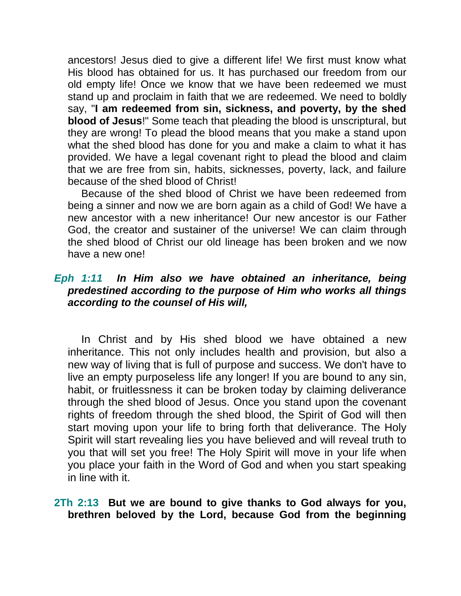ancestors! Jesus died to give a different life! We first must know what His blood has obtained for us. It has purchased our freedom from our old empty life! Once we know that we have been redeemed we must stand up and proclaim in faith that we are redeemed. We need to boldly say, "**I am redeemed from sin, sickness, and poverty, by the shed blood of Jesus**!" Some teach that pleading the blood is unscriptural, but they are wrong! To plead the blood means that you make a stand upon what the shed blood has done for you and make a claim to what it has provided. We have a legal covenant right to plead the blood and claim that we are free from sin, habits, sicknesses, poverty, lack, and failure because of the shed blood of Christ!

Because of the shed blood of Christ we have been redeemed from being a sinner and now we are born again as a child of God! We have a new ancestor with a new inheritance! Our new ancestor is our Father God, the creator and sustainer of the universe! We can claim through the shed blood of Christ our old lineage has been broken and we now have a new one!

## *Eph 1:11 In Him also we have obtained an inheritance, being predestined according to the purpose of Him who works all things according to the counsel of His will,*

In Christ and by His shed blood we have obtained a new inheritance. This not only includes health and provision, but also a new way of living that is full of purpose and success. We don't have to live an empty purposeless life any longer! If you are bound to any sin, habit, or fruitlessness it can be broken today by claiming deliverance through the shed blood of Jesus. Once you stand upon the covenant rights of freedom through the shed blood, the Spirit of God will then start moving upon your life to bring forth that deliverance. The Holy Spirit will start revealing lies you have believed and will reveal truth to you that will set you free! The Holy Spirit will move in your life when you place your faith in the Word of God and when you start speaking in line with it.

#### **2Th 2:13 But we are bound to give thanks to God always for you, brethren beloved by the Lord, because God from the beginning**